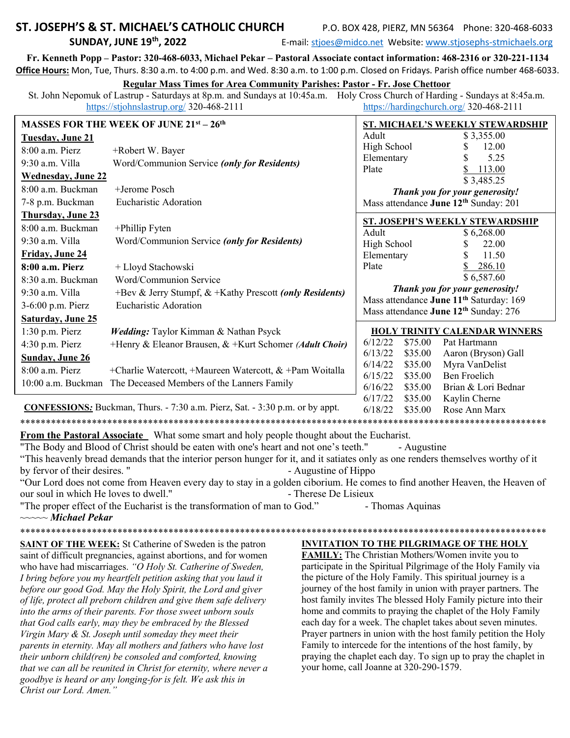## ST. JOSEPH'S & ST. MICHAEL'S CATHOLIC CHURCH **SUNDAY, JUNE 19th, 2022**

P.O. BOX 428, PIERZ, MN 56364 Phone: 320-468-6033

E-mail: stjoes@midco.net Website: www.stjosephs-stmichaels.org

Fr. Kenneth Popp - Pastor: 320-468-6033, Michael Pekar - Pastoral Associate contact information: 468-2316 or 320-221-1134 Office Hours: Mon, Tue, Thurs. 8:30 a.m. to 4:00 p.m. and Wed. 8:30 a.m. to 1:00 p.m. Closed on Fridays. Parish office number 468-6033.

#### **Regular Mass Times for Area Community Parishes: Pastor - Fr. Jose Chettoor**

St. John Nepomuk of Lastrup - Saturdays at 8p.m. and Sundays at 10:45a.m. Holy Cross Church of Harding - Sundays at 8:45a.m. https://stjohnslastrup.org/ 320-468-2111 https://hardingchurch.org/ 320-468-2111

| <b>MASSES FOR THE WEEK OF JUNE 21st - 26th</b> |                                                           | ST. MICHAEL'S WEEKLY STEWARDSHIP                    |                    |                                            |
|------------------------------------------------|-----------------------------------------------------------|-----------------------------------------------------|--------------------|--------------------------------------------|
| <b>Tuesday, June 21</b>                        |                                                           | Adult                                               |                    | \$3,355.00                                 |
| 8:00 a.m. Pierz                                | +Robert W. Bayer                                          | High School                                         |                    | 12.00                                      |
| 9:30 a.m. Villa                                | Word/Communion Service (only for Residents)               | Elementary                                          |                    | 5.25                                       |
| <b>Wednesday, June 22</b>                      |                                                           | Plate                                               |                    | 113.00<br>\$3,485.25                       |
| 8:00 a.m. Buckman                              | +Jerome Posch                                             | Thank you for your generosity!                      |                    |                                            |
| 7-8 p.m. Buckman                               | Eucharistic Adoration                                     | Mass attendance June 12 <sup>th</sup> Sunday: 201   |                    |                                            |
| <b>Thursday, June 23</b>                       |                                                           | ST. JOSEPH'S WEEKLY STEWARDSHIP                     |                    |                                            |
| 8:00 a.m. Buckman                              | +Phillip Fyten                                            | Adult<br>\$6,268.00                                 |                    |                                            |
| $9:30$ a.m. Villa                              | Word/Communion Service (only for Residents)               | High School                                         |                    | 22.00<br>S.                                |
| Friday, June 24                                |                                                           | Elementary                                          |                    | 11.50                                      |
| 8:00 a.m. Pierz                                | + Lloyd Stachowski                                        | Plate                                               |                    | 286.10                                     |
| 8:30 a.m. Buckman                              | Word/Communion Service                                    |                                                     |                    | \$6,587.60                                 |
| 9:30 a.m. Villa                                | +Bev & Jerry Stumpf, & +Kathy Prescott (only Residents)   | Thank you for your generosity!                      |                    |                                            |
| 3-6:00 p.m. Pierz                              | Eucharistic Adoration                                     | Mass attendance June 11 <sup>th</sup> Saturday: 169 |                    |                                            |
| <b>Saturday, June 25</b>                       |                                                           | Mass attendance June 12 <sup>th</sup> Sunday: 276   |                    |                                            |
| $1:30$ p.m. Pierz                              | Wedding: Taylor Kimman & Nathan Psyck                     |                                                     |                    | <b>HOLY TRINITY CALENDAR WINNERS</b>       |
| 4:30 p.m. Pierz                                | +Henry & Eleanor Brausen, & +Kurt Schomer (Adult Choir)   | 6/12/22                                             | \$75.00            | Pat Hartmann                               |
| <b>Sunday, June 26</b>                         |                                                           | 6/13/22                                             | \$35.00            | Aaron (Bryson) Gall                        |
| 8:00 a.m. Pierz                                | +Charlie Watercott, +Maureen Watercott, $&$ +Pam Woitalla | 6/14/22                                             | \$35.00            | Myra VanDelist                             |
| 10:00 a.m. Buckman                             | The Deceased Members of the Lanners Family                | 6/15/22<br>6/16/22                                  | \$35.00<br>\$35.00 | <b>Ben Froelich</b><br>Brian & Lori Bednar |
|                                                |                                                           | 6/17/22                                             | \$35.00            | Kaylin Cherne                              |

### **CONFESSIONS:** Buckman, Thurs. - 7:30 a.m. Pierz, Sat. - 3:30 p.m. or by appt.

From the Pastoral Associate What some smart and holy people thought about the Eucharist.

"The Body and Blood of Christ should be eaten with one's heart and not one's teeth." - Augustine

"This heavenly bread demands that the interior person hunger for it, and it satiates only as one renders themselves worthy of it by fervor of their desires." - Augustine of Hippo

"Our Lord does not come from Heaven every day to stay in a golden ciborium. He comes to find another Heaven, the Heaven of our soul in which He loves to dwell." - Therese De Lisieux

"The proper effect of the Eucharist is the transformation of man to God." - Thomas Aquinas  $\sim\sim\sim Michael Pekar$ 

**SAINT OF THE WEEK:** St Catherine of Sweden is the patron saint of difficult pregnancies, against abortions, and for women who have had miscarriages. "O Holy St. Catherine of Sweden, I bring before you my heartfelt petition asking that you laud it before our good God. May the Holy Spirit, the Lord and giver of life, protect all preborn children and give them safe delivery into the arms of their parents. For those sweet unborn souls that God calls early, may they be embraced by the Blessed Virgin Mary & St. Joseph until someday they meet their parents in eternity. May all mothers and fathers who have lost their unborn child(ren) be consoled and comforted, knowing that we can all be reunited in Christ for eternity, where never a goodbye is heard or any longing-for is felt. We ask this in Christ our Lord. Amen."

**INVITATION TO THE PILGRIMAGE OF THE HOLY** 

6/18/22 \$35.00

Rose Ann Marx

FAMILY: The Christian Mothers/Women invite you to participate in the Spiritual Pilgrimage of the Holy Family via the picture of the Holy Family. This spiritual journey is a journey of the host family in union with prayer partners. The host family invites The blessed Holy Family picture into their home and commits to praying the chaplet of the Holy Family each day for a week. The chaplet takes about seven minutes. Prayer partners in union with the host family petition the Holy Family to intercede for the intentions of the host family, by praying the chaplet each day. To sign up to pray the chaplet in your home, call Joanne at 320-290-1579.